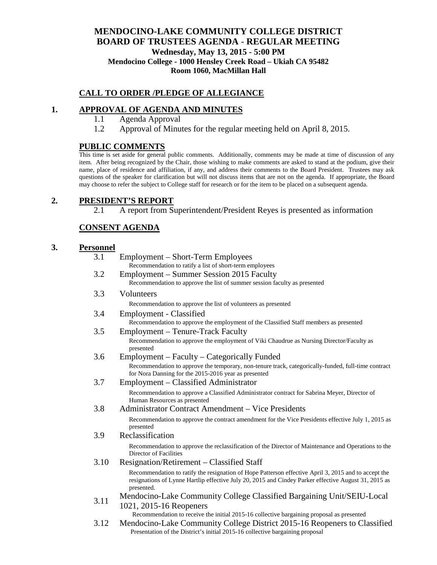## **MENDOCINO-LAKE COMMUNITY COLLEGE DISTRICT BOARD OF TRUSTEES AGENDA** - **REGULAR MEETING Wednesday, May 13, 2015 - 5:00 PM Mendocino College - 1000 Hensley Creek Road – Ukiah CA 95482 Room 1060, MacMillan Hall**

#### **CALL TO ORDER /PLEDGE OF ALLEGIANCE**

#### **1. APPROVAL OF AGENDA AND MINUTES**

- 1.1 Agenda Approval
- 1.2 Approval of Minutes for the regular meeting held on April 8, 2015.

### **PUBLIC COMMENTS**

This time is set aside for general public comments. Additionally, comments may be made at time of discussion of any item. After being recognized by the Chair, those wishing to make comments are asked to stand at the podium, give their name, place of residence and affiliation, if any, and address their comments to the Board President. Trustees may ask questions of the speaker for clarification but will not discuss items that are not on the agenda. If appropriate, the Board may choose to refer the subject to College staff for research or for the item to be placed on a subsequent agenda.

## **2. PRESIDENT'S REPORT**

2.1 A report from Superintendent/President Reyes is presented as information

#### **CONSENT AGENDA**

### **3. Personnel**

| 3.1  | Employment – Short-Term Employees<br>Recommendation to ratify a list of short-term employees                                                                                                                               |
|------|----------------------------------------------------------------------------------------------------------------------------------------------------------------------------------------------------------------------------|
| 3.2  | Employment – Summer Session 2015 Faculty<br>Recommendation to approve the list of summer session faculty as presented                                                                                                      |
| 3.3  | Volunteers                                                                                                                                                                                                                 |
|      | Recommendation to approve the list of volunteers as presented                                                                                                                                                              |
| 3.4  | <b>Employment - Classified</b><br>Recommendation to approve the employment of the Classified Staff members as presented                                                                                                    |
| 3.5  | Employment – Tenure-Track Faculty                                                                                                                                                                                          |
|      | Recommendation to approve the employment of Viki Chaudrue as Nursing Director/Faculty as<br>presented                                                                                                                      |
| 3.6  | Employment – Faculty – Categorically Funded                                                                                                                                                                                |
|      | Recommendation to approve the temporary, non-tenure track, categorically-funded, full-time contract<br>for Nora Danning for the 2015-2016 year as presented                                                                |
| 3.7  | Employment – Classified Administrator                                                                                                                                                                                      |
|      | Recommendation to approve a Classified Administrator contract for Sabrina Meyer, Director of<br>Human Resources as presented                                                                                               |
| 3.8  | Administrator Contract Amendment – Vice Presidents                                                                                                                                                                         |
|      | Recommendation to approve the contract amendment for the Vice Presidents effective July 1, 2015 as<br>presented                                                                                                            |
| 3.9  | Reclassification                                                                                                                                                                                                           |
|      | Recommendation to approve the reclassification of the Director of Maintenance and Operations to the<br>Director of Facilities                                                                                              |
| 3.10 | Resignation/Retirement – Classified Staff                                                                                                                                                                                  |
|      | Recommendation to ratify the resignation of Hope Patterson effective April 3, 2015 and to accept the<br>resignations of Lynne Hartlip effective July 20, 2015 and Cindey Parker effective August 31, 2015 as<br>presented. |
| 3.11 | Mendocino-Lake Community College Classified Bargaining Unit/SEIU-Local                                                                                                                                                     |
|      | 1021, 2015-16 Reopeners<br>Recommendation to receive the initial 2015-16 collective bargaining proposal as presented                                                                                                       |
| 3.12 | Mendocino-Lake Community College District 2015-16 Reopeners to Classified<br>Presentation of the District's initial 2015-16 collective bargaining proposal                                                                 |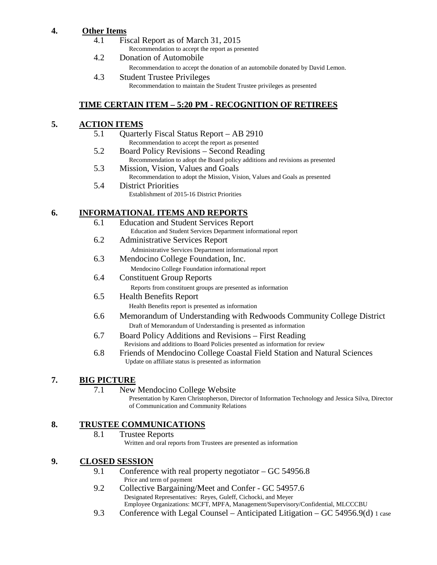# **4. Other Items**

- 4.1 Fiscal Report as of March 31, 2015 Recommendation to accept the report as presented
- 4.2 Donation of Automobile Recommendation to accept the donation of an automobile donated by David Lemon. 4.3 Student Trustee Privileges
	- Recommendation to maintain the Student Trustee privileges as presented

# **TIME CERTAIN ITEM – 5:20 PM - RECOGNITION OF RETIREES**

## **5. ACTION ITEMS**

- 5.1 Quarterly Fiscal Status Report AB 2910 Recommendation to accept the report as presented
- 5.2 Board Policy Revisions Second Reading Recommendation to adopt the Board policy additions and revisions as presented
- 5.3 Mission, Vision, Values and Goals Recommendation to adopt the Mission, Vision, Values and Goals as presented
- 5.4 District Priorities Establishment of 2015-16 District Priorities

# **6. INFORMATIONAL ITEMS AND REPORTS**

- 6.1 Education and Student Services Report Education and Student Services Department informational report
- 6.2 Administrative Services Report Administrative Services Department informational report
- 6.3 Mendocino College Foundation, Inc. Mendocino College Foundation informational report
- 6.4 Constituent Group Reports Reports from constituent groups are presented as information
- 6.5 Health Benefits Report Health Benefits report is presented as information
- 6.6 Memorandum of Understanding with Redwoods Community College District Draft of Memorandum of Understanding is presented as information
- 6.7 Board Policy Additions and Revisions First Reading Revisions and additions to Board Policies presented as information for review
- 6.8 Friends of Mendocino College Coastal Field Station and Natural Sciences Update on affiliate status is presented as information

## **7. BIG PICTURE**

- 7.1 New Mendocino College Website
	- Presentation by Karen Christopherson, Director of Information Technology and Jessica Silva, Director of Communication and Community Relations

# **8. TRUSTEE COMMUNICATIONS**

8.1 Trustee Reports Written and oral reports from Trustees are presented as information

## **9. CLOSED SESSION**

- 9.1 Conference with real property negotiator GC 54956.8 Price and term of payment
- 9.2 Collective Bargaining/Meet and Confer GC 54957.6 Designated Representatives: Reyes, Guleff, Cichocki, and Meyer Employee Organizations: MCFT, MPFA, Management/Supervisory/Confidential, MLCCCBU
- 9.3 Conference with Legal Counsel Anticipated Litigation GC 54956.9(d) 1 case